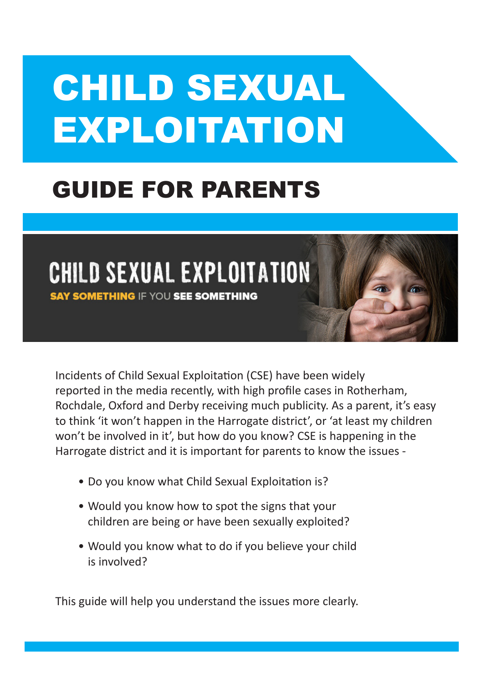# CHILD SEXUAL EXPLOITATION

### GUIDE FOR PARENTS

## **CHILD SEXUAL EXPLOITATION**

**SAY SOMETHING IF YOU SEE SOMETHING** 

Incidents of Child Sexual Exploitation (CSE) have been widely reported in the media recently, with high profile cases in Rotherham, Rochdale, Oxford and Derby receiving much publicity. As a parent, it's easy to think 'it won't happen in the Harrogate district', or 'at least my children won't be involved in it', but how do you know? CSE is happening in the Harrogate district and it is important for parents to know the issues -

- Do you know what Child Sexual Exploitation is?
- Would you know how to spot the signs that your children are being or have been sexually exploited?
- Would you know what to do if you believe your child is involved?

This guide will help you understand the issues more clearly.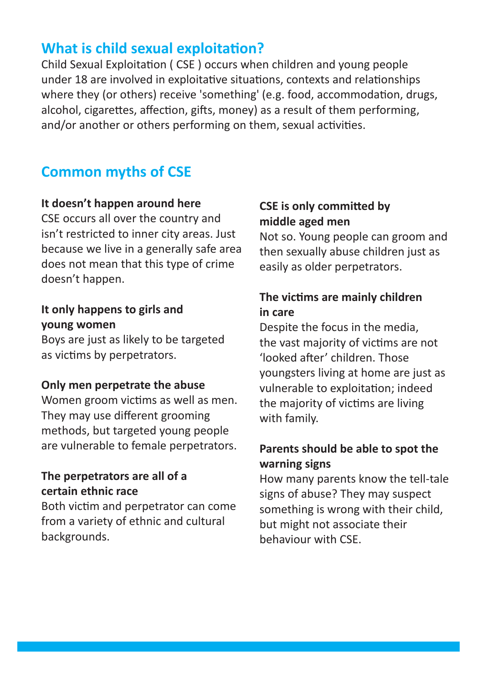#### **What is child sexual exploitation?**

Child Sexual Exploitation ( CSE ) occurs when children and young people under 18 are involved in exploitative situations, contexts and relationships where they (or others) receive 'something' (e.g. food, accommodation, drugs, alcohol, cigarettes, affection, gifts, money) as a result of them performing, and/or another or others performing on them, sexual activities.

#### **Common myths of CSE**

#### **It doesn't happen around here**

CSE occurs all over the country and isn't restricted to inner city areas. Just because we live in a generally safe area does not mean that this type of crime doesn't happen.

#### **It only happens to girls and young women**

Boys are just as likely to be targeted as victims by perpetrators.

#### **Only men perpetrate the abuse**

Women groom victims as well as men. They may use different grooming methods, but targeted young people are vulnerable to female perpetrators.

#### **The perpetrators are all of a certain ethnic race**

Both victim and perpetrator can come from a variety of ethnic and cultural backgrounds.

#### **CSE is only committed by middle aged men**

Not so. Young people can groom and then sexually abuse children just as easily as older perpetrators.

#### **The victims are mainly children in care**

Despite the focus in the media, the vast majority of victims are not 'looked after' children. Those youngsters living at home are just as vulnerable to exploitation; indeed the majority of victims are living with family.

#### **Parents should be able to spot the warning signs**

How many parents know the tell-tale signs of abuse? They may suspect something is wrong with their child, but might not associate their behaviour with CSE.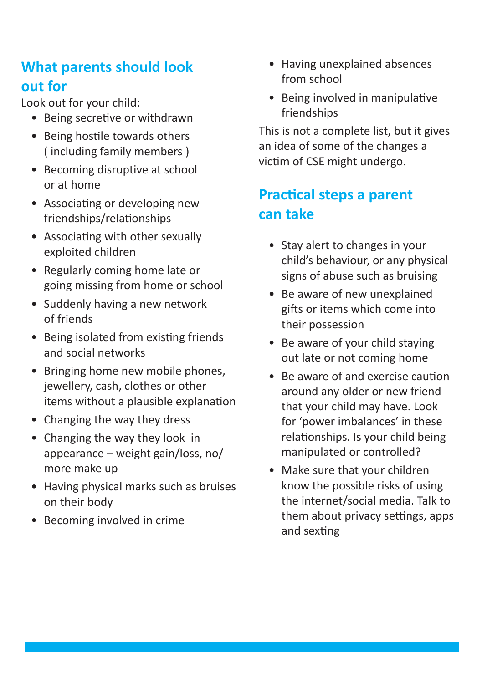#### **What parents should look out for**

Look out for your child:

- Being secretive or withdrawn
- Being hostile towards others ( including family members )
- Becoming disruptive at school or at home
- Associating or developing new friendships/relationships
- Associating with other sexually exploited children
- Regularly coming home late or going missing from home or school
- Suddenly having a new network of friends
- Being isolated from existing friends and social networks
- Bringing home new mobile phones, jewellery, cash, clothes or other items without a plausible explanation
- Changing the way they dress
- Changing the way they look in appearance – weight gain/loss, no/ more make up
- Having physical marks such as bruises on their body
- Becoming involved in crime
- Having unexplained absences from school
- Being involved in manipulative friendships

This is not a complete list, but it gives an idea of some of the changes a victim of CSE might undergo.

#### **Practical steps a parent can take**

- Stay alert to changes in your child's behaviour, or any physical signs of abuse such as bruising
- Be aware of new unexplained gifts or items which come into their possession
- Be aware of your child staying out late or not coming home
- Be aware of and exercise caution around any older or new friend that your child may have. Look for 'power imbalances' in these relationships. Is your child being manipulated or controlled?
- Make sure that your children know the possible risks of using the internet/social media. Talk to them about privacy settings, apps and sexting